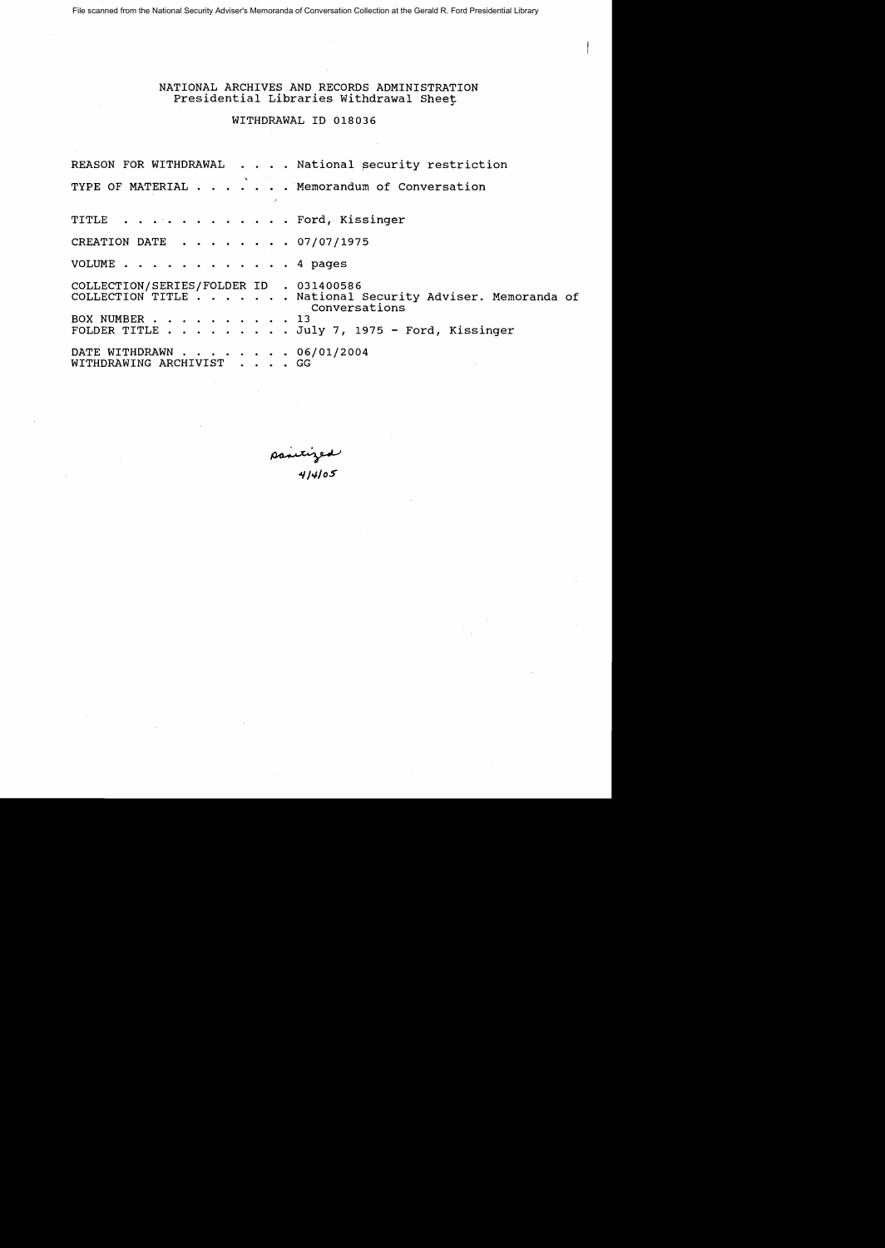File scanned from the National Security Adviser's Memoranda of Conversation Collection at the Gerald R. Ford Presidential Library

NATIONAL ARCHIVES AND RECORDS ADMINISTRATION Presidential Libraries withdrawal Sheet

WITHDRAWAL ID 018036

|                                                          | REASON FOR WITHDRAWAL National security restriction                                                                               |  |
|----------------------------------------------------------|-----------------------------------------------------------------------------------------------------------------------------------|--|
|                                                          | TYPE OF MATERIAL Memorandum of Conversation                                                                                       |  |
| TITLE Ford, Kissinger                                    |                                                                                                                                   |  |
| CREATION DATE 07/07/1975                                 |                                                                                                                                   |  |
| VOLUME 4 pages                                           |                                                                                                                                   |  |
| COLLECTION/SERIES/FOLDER ID . 031400586<br>BOX NUMBER 13 | COLLECTION TITLE National Security Adviser. Memoranda of<br>Conversations<br>FOLDER TITLE $\ldots$ July 7, 1975 - Ford, Kissinger |  |
| DATE WITHDRAWN 06/01/2004<br>WITHDRAWING ARCHIVIST GG    |                                                                                                                                   |  |

~ *"INloS*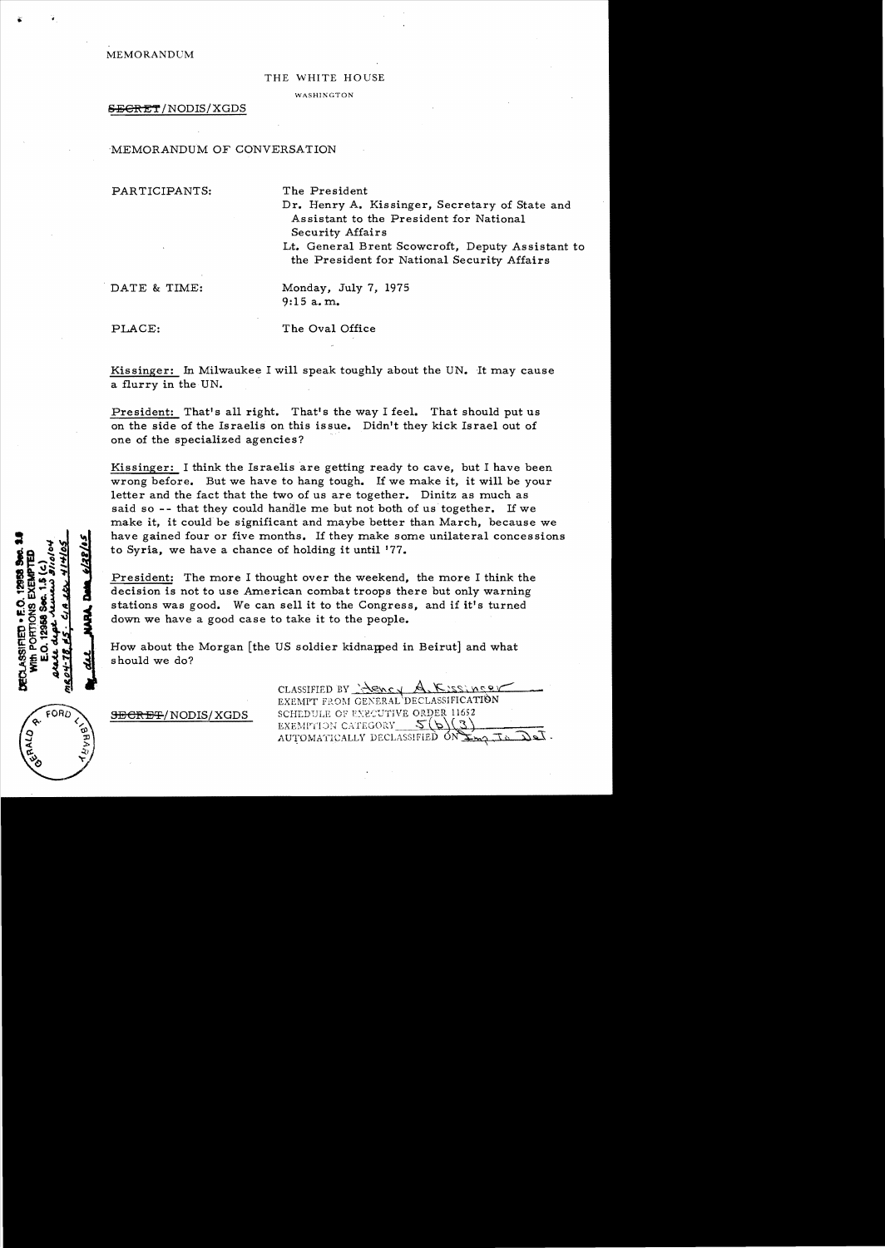MEMORANDCM

#### THE WHITE HOUSE

**WASHINGTON** 

### S<del>ECRET</del>/NODIS/XGDS

MEMORANDUM OF CONVERSATION

PARTICIPANTS: The President

Dr. Henry A. Kissinger, Secretary of State and Assistant to the President for National Security Affairs

Lt. General Brent Scowcroft, Deputy Assistant to the President for National Security Affairs

DATE & TIME: Monday, July 7, 1975 9:15 a. m.

PLACE: The Oval Office

Kissinger: In Milwaukee I will speak toughly about the UN. It may cause a flurry in the UN.

President: That's all right. That's the way I feel. That should put us on the side of the Israelis on this issue. Didn't they kick Israel out of one of the specialized agencies?

Kissinger: I think the Israelis are getting ready to cave, but I have been wrong before. But we have to hang tough. If we make it, it will be your letter and the fact that the two of us are together. Dinitz as much as said so -- that they could handle me but not both of us together. If we make it, it could be significant and maybe better than March, because we have gained four or five months. If they make some unilateral concessions to Syria, we have a chance of holding it until '77.

President: The more I thought over the weekend, the more I think the decision is not to use American combat troops there but only warning stations was good. We can sell it to the Congress, and if it's turned down we have a good case to take it to the people.

How about the Morgan [the US soldier kidnapped in Beirut] and what should we do?

FORD

DECLASSIFIED . E.O.

CLASSIFIED BY  $\frac{1}{2}$   $\frac{1}{2}$   $\frac{1}{2}$   $\frac{1}{2}$   $\frac{1}{2}$   $\frac{1}{2}$   $\frac{1}{2}$ EXEMIT FROM GENERAL DECLASSIFICATION **9ECRET/NODIS/XGDS** SCHEDULE OF EXECUTIVE ORDER 11652 EXEMPTION CATEGORY  $\mathcal{S}(b)$ AUTOMATICALLY DECLASSIFIED  $ON \sum_{m}$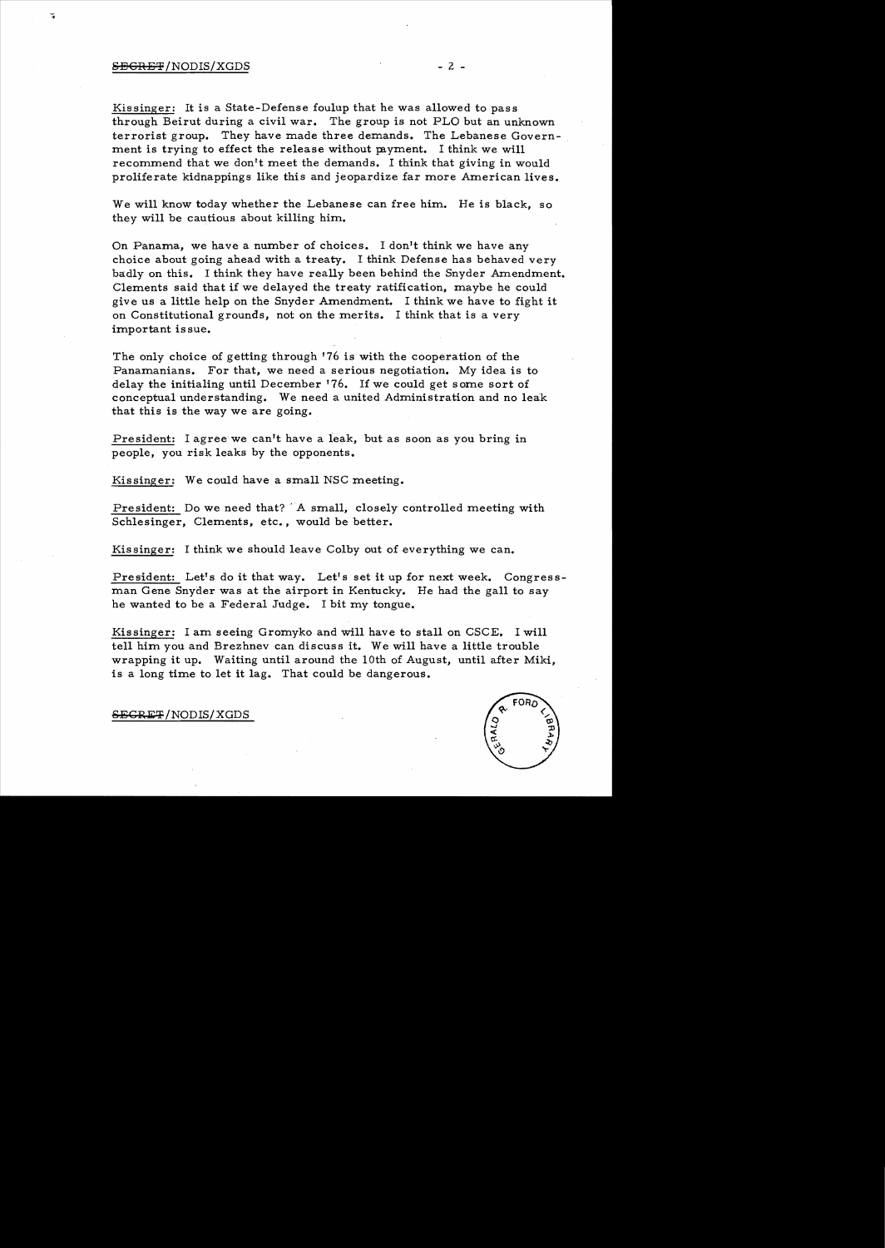## $S\rightarrow$  2 -  $\overline{S}$

Kissinger: It is a State-Defense foulup that he was allowed to pass through Beirut during a civil war. The group is not PLO but an unknown terrorist group. They have made three demands. The Lebanese Government is trying to effect the release without payment. I think we will recommend that we don't meet the demands. I think that giving in would proliferate kidnappings like this and jeopardize far more American lives.

We will know today whether the Lebanese can free him. He is black, so they will be cautious about killing him.

On Panama, we have a number of choices. I don't think we have any choice about going ahead with a treaty. I think Defense has behaved very badly on this. I think they have really been behind the Snyder Amendment. Clements said that if we delayed the treaty ratification, maybe he could give us a little help on the Snyder Amendment. I think we have to fight it on Constitutional grounds, not on the merits. I think that is a very important is sue.

The only choice of getting through '76 is with the cooperation of the Panamanians. For that, we need a serious negotiation. My idea is to delay the initialing until December '76. If we could get some sort of conceptual understanding. We need a united Administration and no leak that this is the way we are going.

President: I agree we can't have a leak, but as soon as you bring in people, you risk leaks by the opponents.

Kissinger: We could have a small NSC meeting.

President: Do we need that? 'A small, closely controlled meeting with Schlesinger, Clements, etc., would be better.

Kissinger: I think we should leave Colby out of everything we can.

President: Let's do it that way. Let's set it up for next week. Congressman Gene Snyder was at the airport in Kentucky. He had the gall to say he wanted to be a Federal Judge. I bit my tongue.

Kissinger: I am seeing Gromyko and will have to stall on CSCE. I will tell him you and Brezhnev can discuss it. We will have a little trouble wrapping it up. Waiting until around the lOth of August, until after Miki, is a long time to let it lag. That could be dangerous.

SEGRET/NODIS/XGDS

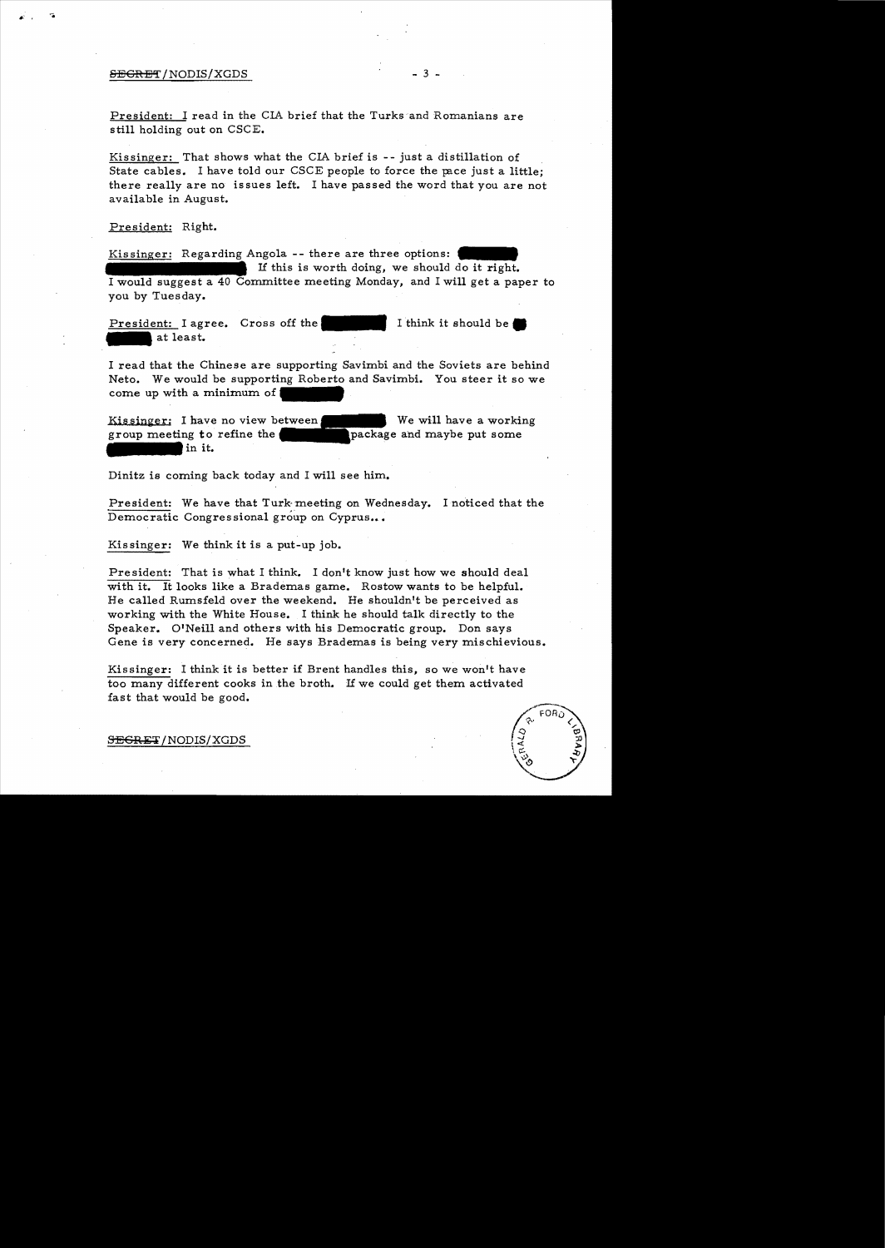## $SEGRET/NODIS/XGDS$  - 3 -

President: I read in the CIA brief that the Turks and Romanians are still holding out on CSCE.

Kissinger: That shows what the CIA brief is  $-$ - just a distillation of State cables. I have told our CSCE people to force the pace just a little; there really are no issues left. I have passed the word that you are not available in August.

President: Right.

Kissinger: Regarding Angola -- there are three options: If this is worth doing, we should do it right. I would suggest a 40 Committee meeting Monday, and I will get a paper to you by Tuesday.

President: I agree. Cross off the President: I agr I think it should be.

I read that the Chinese are supporting Savimbi and the Soviets are behind Neto. We would be supporting Roberto and Savimbi. You steer it so we come up with a minimum of

Kissinger: I have no view between group meeting to refine the in it. We will have a working package and maybe put some

Dinitz is coming back today and I will see him.

President: We have that Turk meeting on Wednesday. I noticed that the Democratic Congressional group on Cyprus...

Kissinger: We think it is a put-up job.

President: That is what I think. I don't know just how we should deal with it. It looks like a Brademas game. Rostow wants to be helpful. He called Rumsfeld over the weekend. He shouldn't be perceived as working with the White House. I think he should talk directly to the Speaker. O'Neill and others with his Democratic group. Don says Gene is very concerned. He says Brademas is being very mischievious.

Kissinger: I think it is better if Brent handles this, so we won't have too many different cooks in the broth. If we could get them activated fast that would be good.

SEGRET/NODIS/XGDS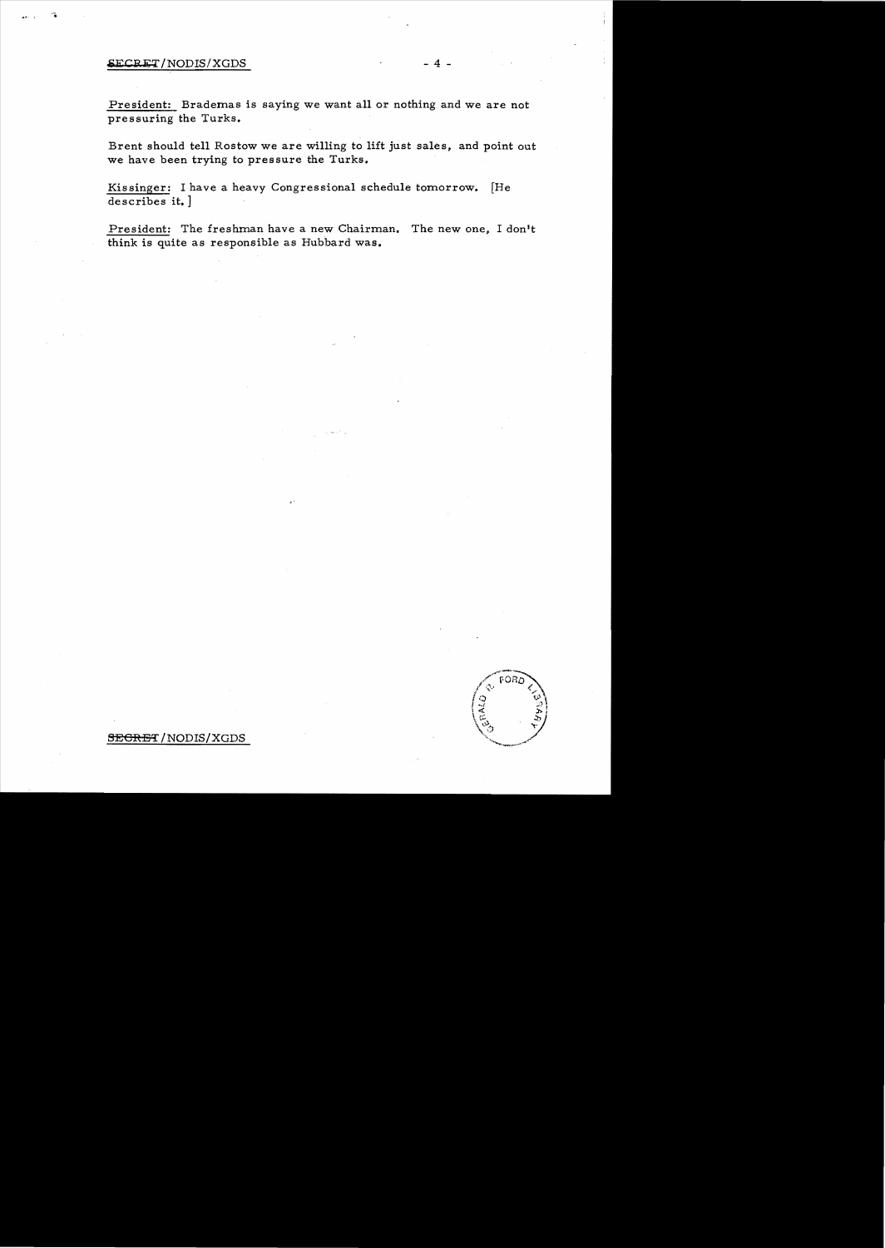# SECRET/NODIS/XGDS

President: Brademas is saying we want all or nothing and we are not pressuring the Turks.

Brent should tell Rostow we are willing to lift just sales, and point out we have been trying to pressure the Turks.

Kissinger: I have a heavy Congressional schedule tomorrow. [He describes it.]

President: The freshman have a new Chairman. The new one, I don't think is quite as responsible as Hubbard was.



### SEGRET/NODIS/XGDS